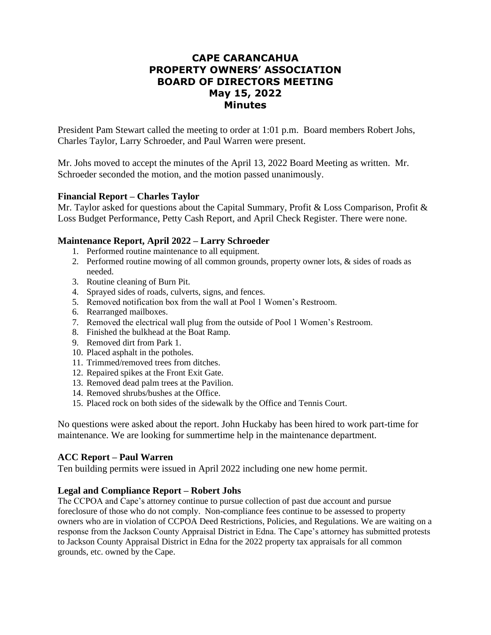# **CAPE CARANCAHUA PROPERTY OWNERS' ASSOCIATION BOARD OF DIRECTORS MEETING May 15, 2022 Minutes**

President Pam Stewart called the meeting to order at 1:01 p.m. Board members Robert Johs, Charles Taylor, Larry Schroeder, and Paul Warren were present.

Mr. Johs moved to accept the minutes of the April 13, 2022 Board Meeting as written. Mr. Schroeder seconded the motion, and the motion passed unanimously.

## **Financial Report – Charles Taylor**

Mr. Taylor asked for questions about the Capital Summary, Profit & Loss Comparison, Profit & Loss Budget Performance, Petty Cash Report, and April Check Register. There were none.

## **Maintenance Report, April 2022 – Larry Schroeder**

- 1. Performed routine maintenance to all equipment.
- 2. Performed routine mowing of all common grounds, property owner lots, & sides of roads as needed.
- 3. Routine cleaning of Burn Pit.
- 4. Sprayed sides of roads, culverts, signs, and fences.
- 5. Removed notification box from the wall at Pool 1 Women's Restroom.
- 6. Rearranged mailboxes.
- 7. Removed the electrical wall plug from the outside of Pool 1 Women's Restroom.
- 8. Finished the bulkhead at the Boat Ramp.
- 9. Removed dirt from Park 1.
- 10. Placed asphalt in the potholes.
- 11. Trimmed/removed trees from ditches.
- 12. Repaired spikes at the Front Exit Gate.
- 13. Removed dead palm trees at the Pavilion.
- 14. Removed shrubs/bushes at the Office.
- 15. Placed rock on both sides of the sidewalk by the Office and Tennis Court.

No questions were asked about the report. John Huckaby has been hired to work part-time for maintenance. We are looking for summertime help in the maintenance department.

## **ACC Report – Paul Warren**

Ten building permits were issued in April 2022 including one new home permit.

## **Legal and Compliance Report – Robert Johs**

The CCPOA and Cape's attorney continue to pursue collection of past due account and pursue foreclosure of those who do not comply. Non-compliance fees continue to be assessed to property owners who are in violation of CCPOA Deed Restrictions, Policies, and Regulations. We are waiting on a response from the Jackson County Appraisal District in Edna. The Cape's attorney has submitted protests to Jackson County Appraisal District in Edna for the 2022 property tax appraisals for all common grounds, etc. owned by the Cape.